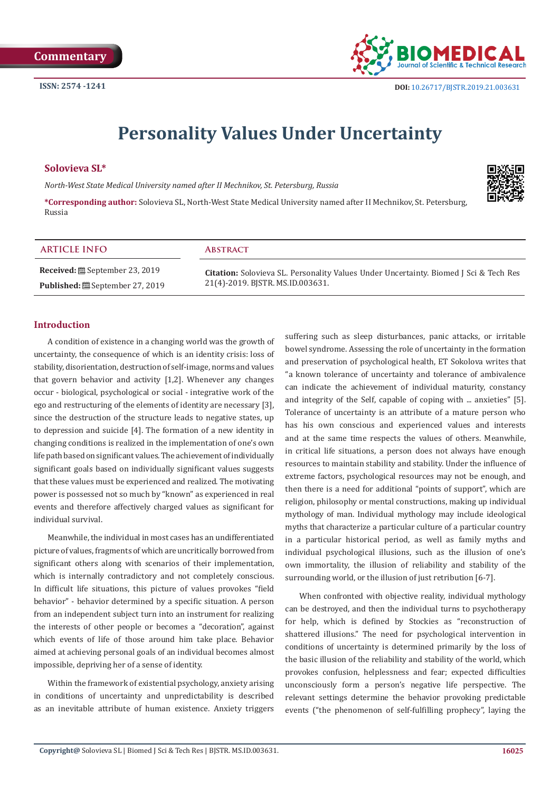

# **Personality Values Under Uncertainty**

# **Solovieva SL\***

*North-West State Medical University named after II Mechnikov, St. Petersburg, Russia*

**\*Corresponding author:** Solovieva SL, North-West State Medical University named after II Mechnikov, St. Petersburg, Russia



| <b>ARTICLE INFO</b>                   | <b>ABSTRACT</b>                                                                       |
|---------------------------------------|---------------------------------------------------------------------------------------|
| <b>Received:</b> ■ September 23, 2019 | Citation: Solovieva SL. Personality Values Under Uncertainty. Biomed J Sci & Tech Res |
| <b>Published: </b> September 27, 2019 | 21(4)-2019. BISTR. MS.ID.003631.                                                      |

# **Introduction**

A condition of existence in a changing world was the growth of uncertainty, the consequence of which is an identity crisis: loss of stability, disorientation, destruction of self-image, norms and values that govern behavior and activity [1,2]. Whenever any changes occur - biological, psychological or social - integrative work of the ego and restructuring of the elements of identity are necessary [3], since the destruction of the structure leads to negative states, up to depression and suicide [4]. The formation of a new identity in changing conditions is realized in the implementation of one's own life path based on significant values. The achievement of individually significant goals based on individually significant values suggests that these values must be experienced and realized. The motivating power is possessed not so much by "known" as experienced in real events and therefore affectively charged values as significant for individual survival.

Meanwhile, the individual in most cases has an undifferentiated picture of values, fragments of which are uncritically borrowed from significant others along with scenarios of their implementation, which is internally contradictory and not completely conscious. In difficult life situations, this picture of values provokes "field behavior" - behavior determined by a specific situation. A person from an independent subject turn into an instrument for realizing the interests of other people or becomes a "decoration", against which events of life of those around him take place. Behavior aimed at achieving personal goals of an individual becomes almost impossible, depriving her of a sense of identity.

Within the framework of existential psychology, anxiety arising in conditions of uncertainty and unpredictability is described as an inevitable attribute of human existence. Anxiety triggers

suffering such as sleep disturbances, panic attacks, or irritable bowel syndrome. Assessing the role of uncertainty in the formation and preservation of psychological health, ET Sokolova writes that "a known tolerance of uncertainty and tolerance of ambivalence can indicate the achievement of individual maturity, constancy and integrity of the Self, capable of coping with ... anxieties" [5]. Tolerance of uncertainty is an attribute of a mature person who has his own conscious and experienced values and interests and at the same time respects the values of others. Meanwhile, in critical life situations, a person does not always have enough resources to maintain stability and stability. Under the influence of extreme factors, psychological resources may not be enough, and then there is a need for additional "points of support", which are religion, philosophy or mental constructions, making up individual mythology of man. Individual mythology may include ideological myths that characterize a particular culture of a particular country in a particular historical period, as well as family myths and individual psychological illusions, such as the illusion of one's own immortality, the illusion of reliability and stability of the surrounding world, or the illusion of just retribution [6-7].

When confronted with objective reality, individual mythology can be destroyed, and then the individual turns to psychotherapy for help, which is defined by Stockies as "reconstruction of shattered illusions." The need for psychological intervention in conditions of uncertainty is determined primarily by the loss of the basic illusion of the reliability and stability of the world, which provokes confusion, helplessness and fear; expected difficulties unconsciously form a person's negative life perspective. The relevant settings determine the behavior provoking predictable events ("the phenomenon of self-fulfilling prophecy", laying the